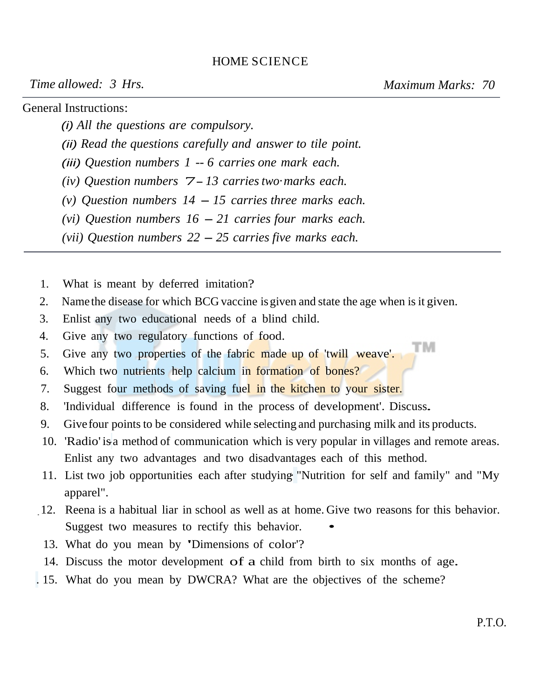## HOME SCIENCE

*Time allowed: 3 Hrs.* Maximum Marks: 70

TМ

General Instructions:

(i) *All the questions are compulsory.*

(ii) *Read the questions carefully and answer to tile point.*

(iii) *Question numbers 1* -- *6 carries one mark each.* 

*(iv) Question numbers* 7- *13 carries two· marks each.*

*(v) Question numbers 14* - *15 carries three marks each.* 

*(vi) Question numbers 16* - *21 carries four marks each.* 

*(vii) Question numbers 22* - *25 carries five marks each.*

- 1. What is meant by deferred imitation?
- 2. Name the disease for which BCG vaccine is given and state the age when is it given.
- 3. Enlist any two educational needs of a blind child.
- 4. Give any two regulatory functions of food.
- 5. Give any two properties of the fabric made up of 'twill weave'.
- 6. Which two nutrients help calcium in formation of bones?
- 7. Suggest four methods of saving fuel in the kitchen to your sister.
- 8. 'Individual difference is found in the process of development'. Discuss.
- 9. Give four points to be considered while selecting and purchasing milk and its products.
- 10. 'Radio' is a method of communication which is very popular in villages and remote areas. Enlist any two advantages and two disadvantages each of this method.
- 11. List two job opportunities each after studying· "Nutrition for self and family" and "My apparel".
- \_ 12. Reena is a habitual liar in school as well as at home. Give two reasons for this behavior. Suggest two measures to rectify this behavior.
	- 13. What do you mean by 'Dimensions of color'?
- 14. Discuss the motor development of a child from birth to six months of age.
- . 15. What do you mean by DWCRA? What are the objectives of the scheme?